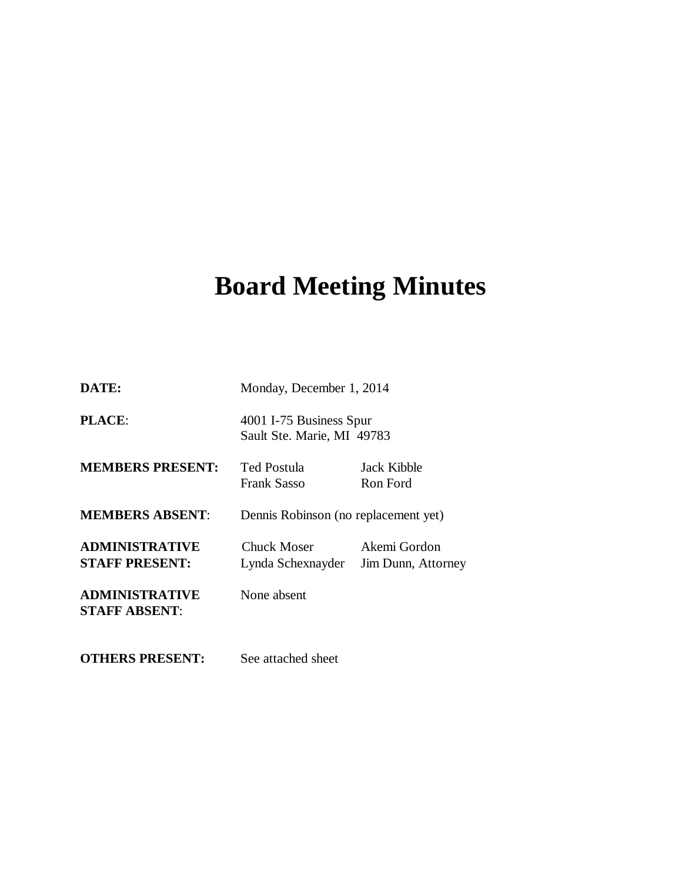# **Board Meeting Minutes**

| DATE:                                          | Monday, December 1, 2014                              |                                    |
|------------------------------------------------|-------------------------------------------------------|------------------------------------|
| <b>PLACE:</b>                                  | 4001 I-75 Business Spur<br>Sault Ste. Marie, MI 49783 |                                    |
| <b>MEMBERS PRESENT:</b>                        | Ted Postula<br><b>Frank Sasso</b>                     | Jack Kibble<br>Ron Ford            |
| <b>MEMBERS ABSENT:</b>                         | Dennis Robinson (no replacement yet)                  |                                    |
| <b>ADMINISTRATIVE</b><br><b>STAFF PRESENT:</b> | Chuck Moser<br>Lynda Schexnayder                      | Akemi Gordon<br>Jim Dunn, Attorney |
| <b>ADMINISTRATIVE</b><br><b>STAFF ABSENT:</b>  | None absent                                           |                                    |
| <b>OTHERS PRESENT:</b>                         | See attached sheet                                    |                                    |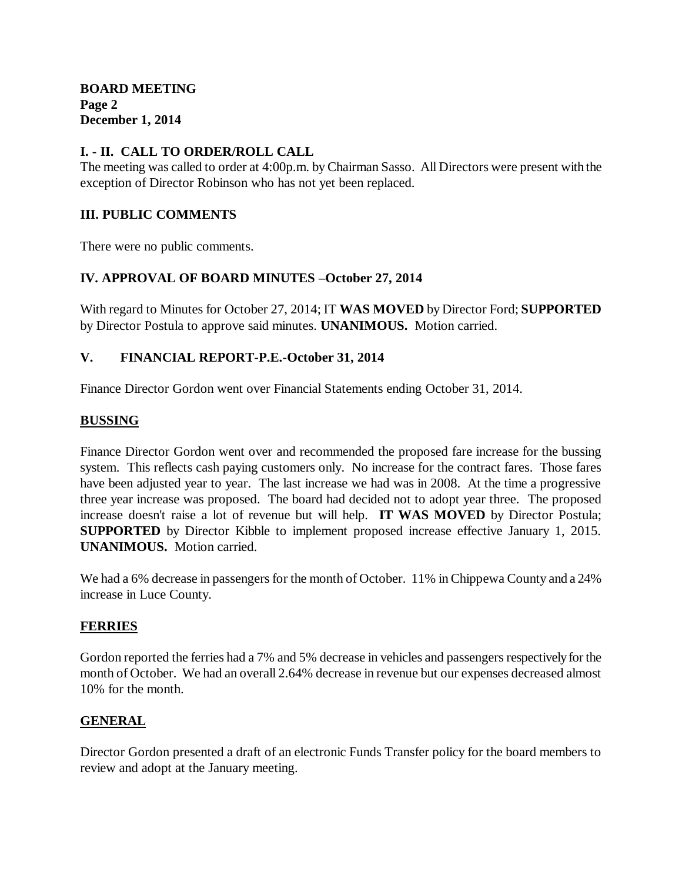## **I. - II. CALL TO ORDER/ROLL CALL**

The meeting was called to order at 4:00p.m. by Chairman Sasso. All Directors were present with the exception of Director Robinson who has not yet been replaced.

# **III. PUBLIC COMMENTS**

There were no public comments.

## **IV. APPROVAL OF BOARD MINUTES –October 27, 2014**

With regard to Minutes for October 27, 2014; IT **WAS MOVED** by Director Ford; **SUPPORTED**  by Director Postula to approve said minutes. **UNANIMOUS.** Motion carried.

## **V. FINANCIAL REPORT-P.E.-October 31, 2014**

Finance Director Gordon went over Financial Statements ending October 31, 2014.

#### **BUSSING**

Finance Director Gordon went over and recommended the proposed fare increase for the bussing system. This reflects cash paying customers only. No increase for the contract fares. Those fares have been adjusted year to year. The last increase we had was in 2008. At the time a progressive three year increase was proposed. The board had decided not to adopt year three. The proposed increase doesn't raise a lot of revenue but will help. **IT WAS MOVED** by Director Postula; **SUPPORTED** by Director Kibble to implement proposed increase effective January 1, 2015. **UNANIMOUS.** Motion carried.

We had a 6% decrease in passengers for the month of October. 11% in Chippewa County and a 24% increase in Luce County.

#### **FERRIES**

Gordon reported the ferries had a 7% and 5% decrease in vehicles and passengers respectively for the month of October. We had an overall 2.64% decrease in revenue but our expenses decreased almost 10% for the month.

## **GENERAL**

Director Gordon presented a draft of an electronic Funds Transfer policy for the board members to review and adopt at the January meeting.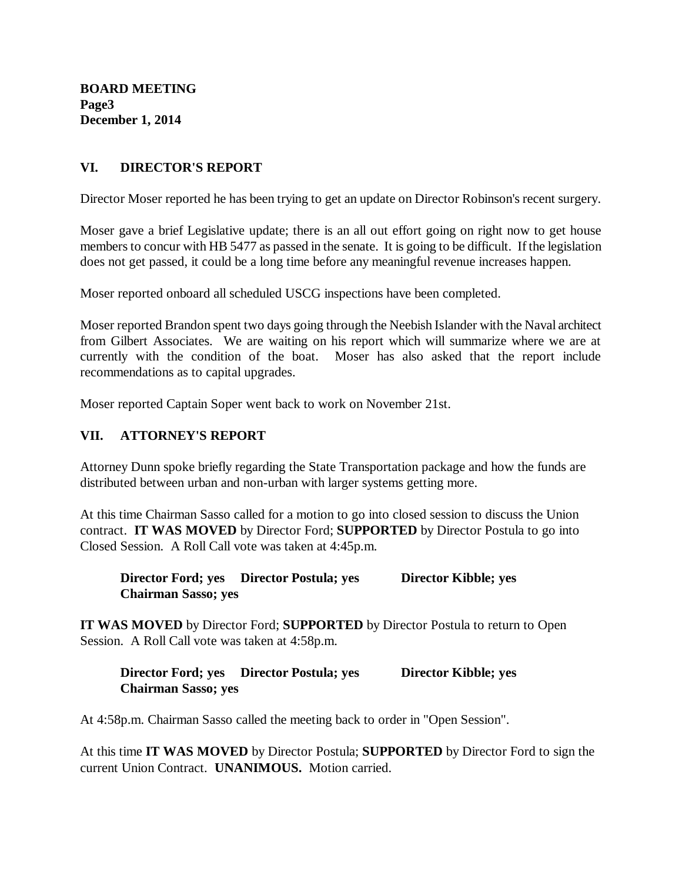**BOARD MEETING Page3 December 1, 2014**

## **VI. DIRECTOR'S REPORT**

Director Moser reported he has been trying to get an update on Director Robinson's recent surgery.

Moser gave a brief Legislative update; there is an all out effort going on right now to get house members to concur with HB 5477 as passed in the senate. It is going to be difficult. If the legislation does not get passed, it could be a long time before any meaningful revenue increases happen.

Moser reported onboard all scheduled USCG inspections have been completed.

Moser reported Brandon spent two days going through the Neebish Islander with the Naval architect from Gilbert Associates. We are waiting on his report which will summarize where we are at currently with the condition of the boat. Moser has also asked that the report include recommendations as to capital upgrades.

Moser reported Captain Soper went back to work on November 21st.

# **VII. ATTORNEY'S REPORT**

Attorney Dunn spoke briefly regarding the State Transportation package and how the funds are distributed between urban and non-urban with larger systems getting more.

At this time Chairman Sasso called for a motion to go into closed session to discuss the Union contract. **IT WAS MOVED** by Director Ford; **SUPPORTED** by Director Postula to go into Closed Session. A Roll Call vote was taken at 4:45p.m.

**Director Ford; yes Director Postula; yes Director Kibble; yes Chairman Sasso; yes**

**IT WAS MOVED** by Director Ford; **SUPPORTED** by Director Postula to return to Open Session. A Roll Call vote was taken at 4:58p.m.

**Director Ford; yes Director Postula; yes Director Kibble; yes Chairman Sasso; yes**

At 4:58p.m. Chairman Sasso called the meeting back to order in "Open Session".

At this time **IT WAS MOVED** by Director Postula; **SUPPORTED** by Director Ford to sign the current Union Contract. **UNANIMOUS.** Motion carried.